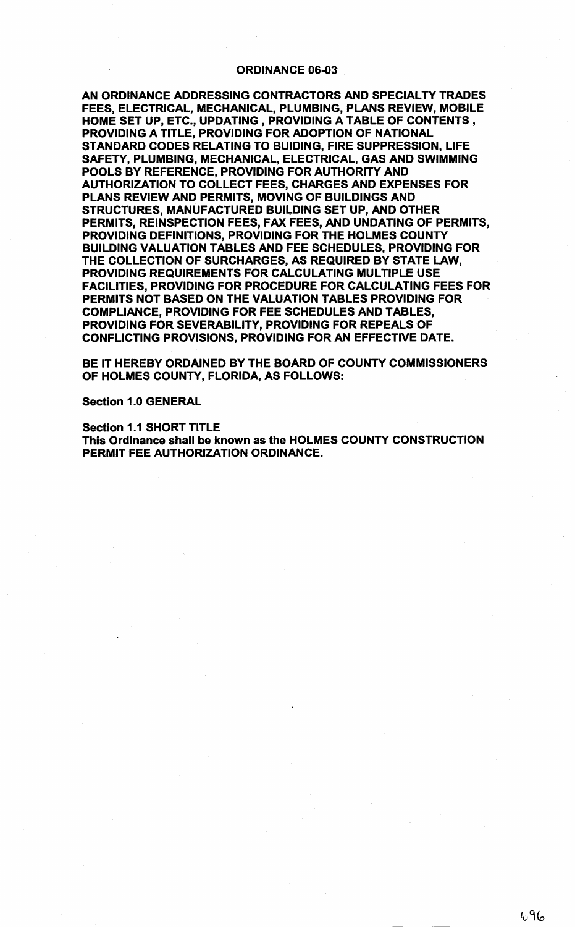# ORDINANCE 06-03

AN ORDINANCE ADDRESSING CONTRACTORS AND SPECIALTY TRADES FEES, ELECTRICAL, MECHANICAL, PLUMBING, PLANS REVIEW, MOBILE HOME SET UP, ETC., UPDATING, PROVIDING A TABLE OF CONTENTS, PROVIDING A TITLE, PROVIDING FOR ADOPTION OF NATIONAL STANDARD CODES RELATING TO BUIDING, FIRE SUPPRESSION, LIFE SAFETY, PLUMBING, MECHANICAL, ELECTRICAL, GAS AND SWIMMING POOLS BY REFERENCE, PROVIDING FOR AUTHORITY AND AUTHORIZATION TO COLLECT FEES, CHARGES AND EXPENSES FOR PLANS REVIEW AND PERMITS, MOVING OF BUILDINGS AND STRUCTURES, MANUFACTURED BUILDING SET UP, AND OTHER PERMITS, REINSPECTION FEES, FAX FEES, AND UNDATING OF PERMITS, PROVIDING DEFINITIONS, PROVIDING FOR THE HOLMES COUNTY BUILDING VALUATION TABLES AND FEE SCHEDULES, PROVIDING FOR THE COLLECTION OF SURCHARGES, AS REQUIRED BY STATE LAW, PROVIDING REQUIREMENTS FOR CALCULATING MULTIPLE USE FACILITIES, PROVIDING FOR PROCEDURE FOR CALCULATING FEES FOR PERMITS NOT BASED ON THE VALUATION TABLES PROVIDING FOR COMPLIANCE, PROVIDING FOR FEE SCHEDULES AND TABLES, PROVIDING FOR SEVERABILITY, PROVIDING FOR REPEALS OF CONFLICTING PROVISIONS, PROVIDING FOR AN EFFECTIVE DATE.

BE IT HEREBY ORDAINED BY THE BOARD OF COUNTY COMMISSIONERS OF HOLMES COUNTY, FLORIDA, AS FOLLOWS:

Section 1.0 GENERAL

Section 1.1 SHORT TITLE

This Ordinance shall be known as the HOLMES COUNTY CONSTRUCTION PERMIT FEE AUTHORIZATION ORDINANCE.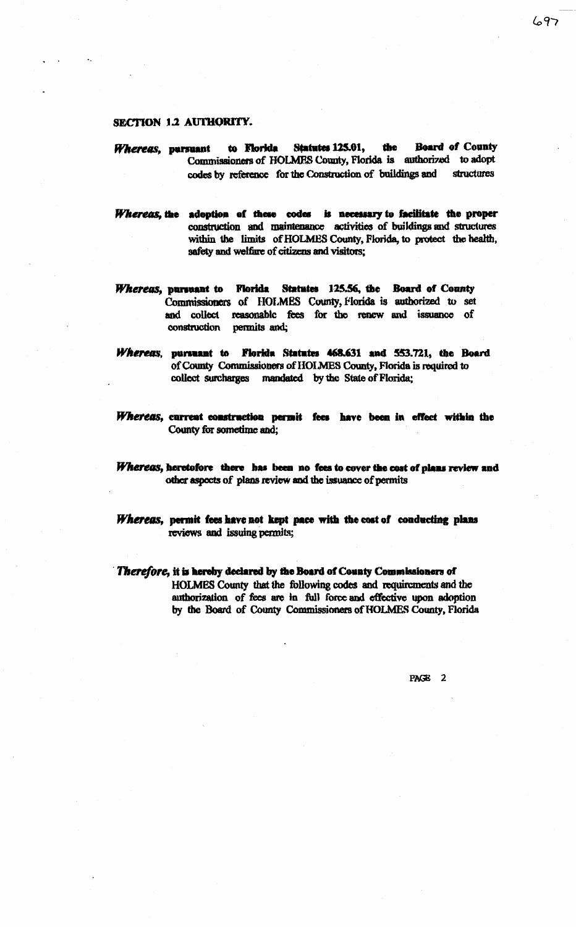# SECTION 1.2 AUTHORITY.

- to Florida **Statutes 125.01,** the **Board of County** Whereas, parsuant Commissioners of HOLMES County, Florida is authorized to adopt codes by reference for the Construction of buildings and structures
- Whereas, the adoption of these codes is necessary to facilitate the proper construction and maintenance activities of buildings and structures within the limits of HOLMES County, Florida, to protect the health, safety and welfare of citizens and visitors;
- Whereas, pursuant to Florida Statutes 125.56, the Board of County Commissioners of HOLMES County, Florida is authorized to set and collect reasonable fees for the renew and issuance of construction permits and;
- Whereas, pursuant to Florida Statutes 468.631 and 553.721, the Board of County Commissioners of HOLMES County, Florida is required to collect surcharges mandated by the State of Florida;
- Whereas, current construction permit fees have been in effect within the County for sometime and;
- Whereas, horetofore there has been no fees to cover the cost of plans review and other aspects of plans review and the issuance of permits
- Whereas, permit fees have not kept pace with the cost of conducting plans reviews and issuing permits;
- Therefore, it is hereby declared by the Board of County Commissioners of HOLMES County that the following codes and requirements and the authorization of fees are in full force and effective upon adoption by the Board of County Commissioners of HOLMES County, Florida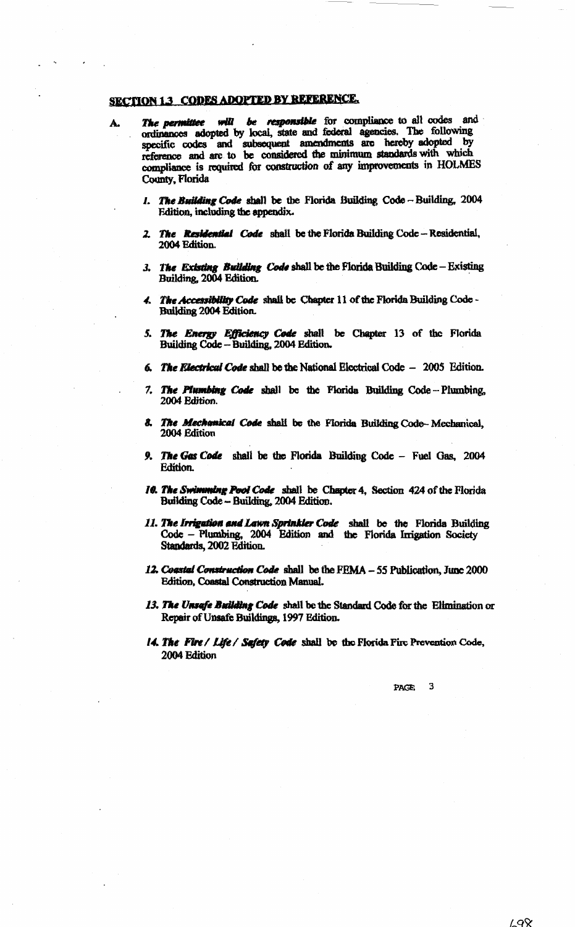# **SECTION 1.3 CODES ADOPTED BY REFERENCE.**

- The permittee will be responsible for compliance to all codes and A. ordinances adopted by local, state and federal agencies. The following specific codes and subsequent amendments are hereby adopted by reference and are to be considered the minimum standards with which compliance is required for construction of any improvements in HOLMES County, Florida
	- 1. The Building Code shall be the Florida Building Code  $-$  Building, 2004 Edition, including the appendix.
	- The Residential Code shall be the Florida Building Code Residential, 2004 Edition.
	- 3. The Existing Building Code shall be the Florida Building Code Existing Building, 2004 Edition.
	- 4. The Accessibility Code shall be Chapter 11 of the Florida Building Code-**Building 2004 Edition.**
	- 5. The Energy Efficiency Code shall be Chapter 13 of the Florida Building Code - Building, 2004 Edition.
	- 6. The Electrical Code shall be the National Electrical Code 2005 Edition.
	- 7. The Plumbing Code shall be the Florida Building Code-Plumbing, 2004 Edition.
	- 8. The Mechanical Code shall be the Florida Building Code-Mechanical, 2004 Edition
	- 9. The Gas Code shall be the Florida Building Code Fuel Gas, 2004 Edition.
	- 10. The Swimming Pool Code shall be Chapter 4, Section 424 of the Florida Building Code -- Building, 2004 Edition.
	- 11. The Irrigation and Lawn Sprinkler Code shall be the Florida Building Code – Plumbing, 2004 Edition and the Florida Irrigation Society Standards, 2002 Edition.
	- 12. Coastal Construction Code shall be the FEMA 55 Publication, June 2000 **Edition, Coastal Construction Manual.**
	- 13. The Unsafe Building Code shall be the Standard Code for the Elimination or Repair of Unsafe Buildings, 1997 Edition.
	- 14. The Fire / Life / Safety Code shall be the Florida Fire Prevention Code, 2004 Edition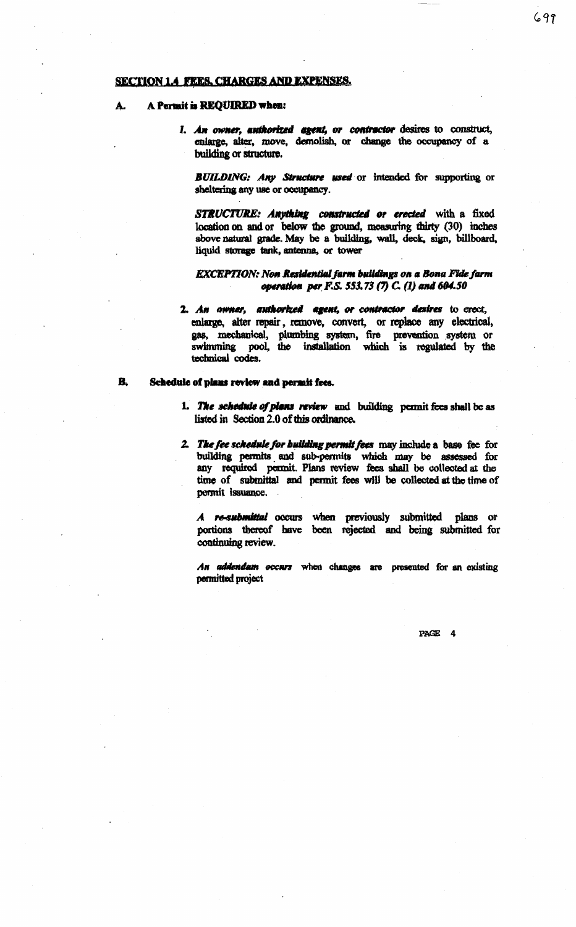# **SECTION 1.4 FEES. CHARGES AND EXPENSES.**

#### A Permit is REQUIRED when: A.

1. An owner, authorized agent, or contractor desires to construct, enlarge, alter, move, demolish, or change the occupancy of a building or structure.

**BUILDING:** Any Structure used or intended for supporting or sheltering any use or occupancy.

STRUCTURE: Anything constructed or erected with a fixed location on and or below the ground, measuring thirty (30) inches above natural grade. May be a building, wall, deck, sign, billboard, liquid storage tank, antenna, or tower

**EXCEPTION: Non Residential farm buildings on a Bona Fide farm** operation per F.S. 553.73 (7) C. (1) and 604.50

2. An owner, authorized agent, or contractor desires to crect, enlarge, alter repair, remove, convert, or replace any electrical, gas, mechanical, plumbing system, fire prevention system or swimming pool, the installation which is regulated by the technical codes.

#### **B.** Schedule of plans review and permit fees.

- 1. The schedule of plans review and building permit fees shall be as listed in Section 2.0 of this ordinance.
- 2. The fee schedule for building permit fees may include a base fee for building permits and sub-permits which may be assessed for any required permit. Plans review fees shall be collected at the time of submittal and permit fees will be collected at the time of permit issuance.

A re-submittal occurs when previously submitted plans or portions thereof have been rejected and being submitted for continuing review.

An addendum occurs when changes are presented for an existing permitted project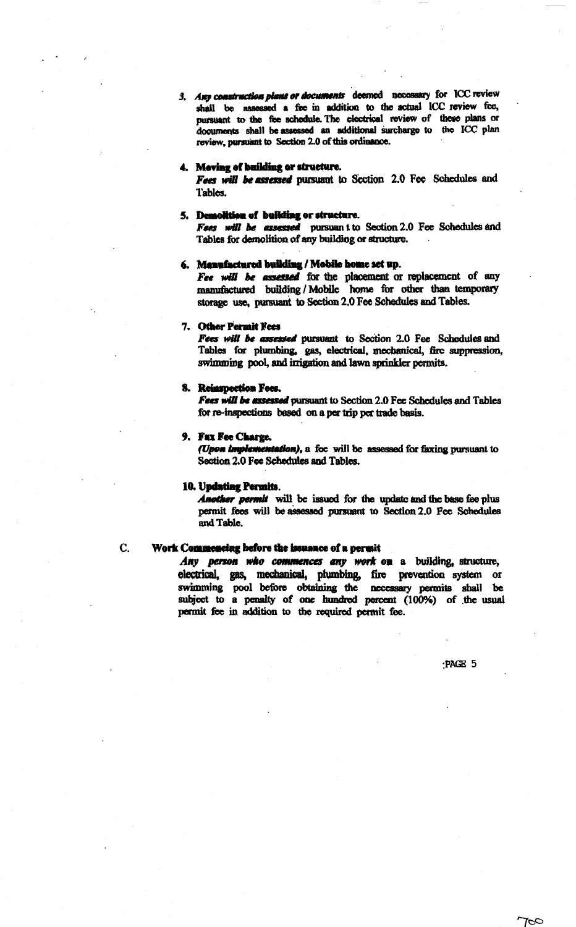3. Any construction plans or documents deemed necessary for ICC review shall be assessed a fee in addition to the actual ICC review fee, pursuant to the fee schedule. The electrical review of these plans or documents shall be assessed an additional surcharge to the ICC plan review, pursuant to Section 2.0 of this ordinance.

### 4. Meving of building or structure.

Fees will be assessed pursuant to Section 2.0 Fee Schedules and Tables.

### 5. Demolition of building or structure.

Fees will be assessed pursuant to Section 2.0 Fee Schedules and Tables for demolition of any building or structure.

# 6. Manufactured building / Mobile home set up.

Fee will be assessed for the placement or replacement of any manufactured building / Mobile home for other than temporary storage use, pursuant to Section 2.0 Fee Schedules and Tables.

### 7. Other Permit Fees

Fees will be assessed pursuant to Section 2.0 Fee Schedules and Tables for plumbing, gas, electrical, mechanical, fire suppression, swimming pool, and irrigation and lawn sprinkler permits.

# 8. Reinspection Fees.

Fees will be assessed pursuant to Section 2.0 Fee Schedules and Tables for re-inspections based on a per trip per trade basis.

### 9. Fax Fee Charge.

(Upon implementation), a foc will be assessed for faxing pursuant to Section 2.0 Fee Schedules and Tables.

### 10. Undating Permits.

Another permit will be issued for the update and the base fee plus permit fees will be assessed pursuant to Section 2.0 Fee Schedules and Table.

### C.

### Work Commoncing before the issuance of a permit

Any person who commences any work on a building, structure, electrical, gas, mechanical, plumbing, fire prevention system or swimming pool before obtaining the necessary permits shall be subject to a penalty of one hundred percent (100%) of the usual permit fee in addition to the required permit fee.

PAGE 5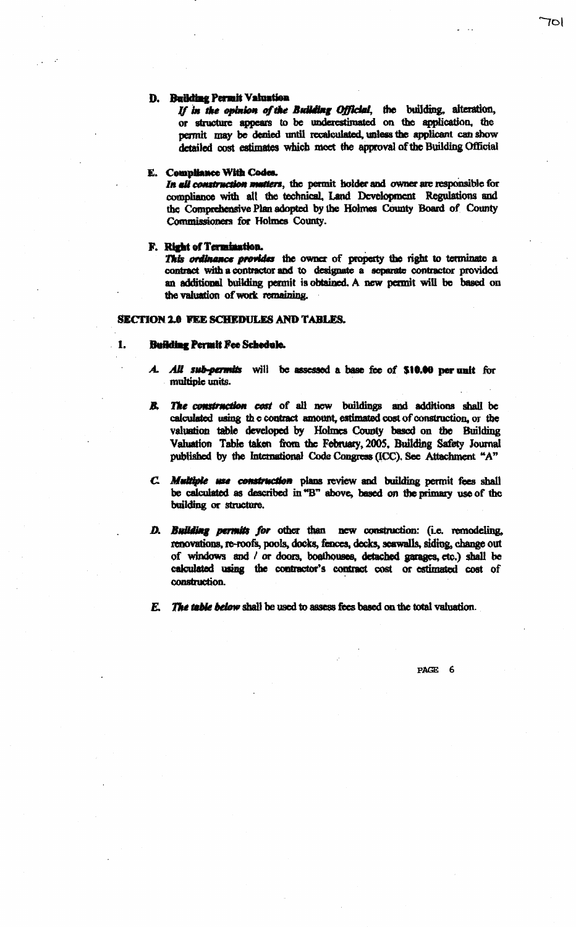### D. Building Permit Valuation

If in the opinion of the Building Official, the building, alteration, or structure appears to be underestimated on the application, the permit may be denied until recalculated, unless the applicant can show detailed cost estimates which meet the approval of the Building Official

# E. Compliance With Codes.

In all construction matters, the permit holder and owner are responsible for compliance with all the technical, Land Development Regulations and the Comprehensive Plan adopted by the Holmes County Board of County Commissioners for Holmes County.

### F. Right of Termination.

This ordinance provides the owner of property the right to terminate a contract with a contractor and to designate a separate contractor provided an additional building permit is obtained. A new permit will be based on the valuation of work remaining.

# **SECTION 2.0 FEE SCHEDULES AND TABLES.**

#### 1. Building Permit Fee Schedule.

- A. All sub-permits will be assessed a base fee of \$10.00 per unit for multiple units.
- The construction cost of all new buildings and additions shall be R. calculated using the contract amount, estimated cost of construction, or the valuation table developed by Holmes County based on the Building Valuation Table taken from the February, 2005, Building Safety Journal published by the International Code Congress (ICC). See Attachment "A"
- C. Multiple use construction plans review and building permit fees shall be calculated as described in "B" above, based on the primary use of the building or structure.
- D. Building permits for other than new construction: (i.e. remodeling, renovations, re-roofs, pools, docks, fences, decks, seawalls, siding, change out of windows and / or doors, boathouses, detached garages, etc.) shall be calculated using the contractor's contract cost or estimated cost of construction.
- E. The table below shall be used to assess fees based on the total valuation.

 $P\Delta C E = 6$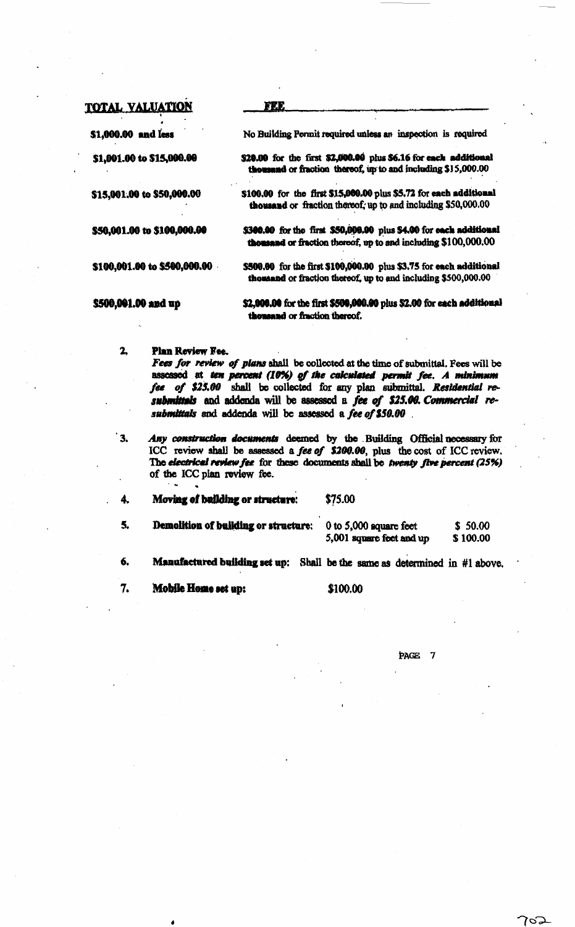**TOTAL VALUATION** 

\$1,001.00 to \$15,000.00

\$15,001.00 to \$50,000.00

\$50,001.00 to \$100,000.00

\$100,001.00 to \$500,000.00

\$1,000.00 and less

**FEE** 

No Building Permit required unless an inspection is required

\$20.00 for the first \$2,000.00 plus \$6.16 for each additional thousand or fraction thereof, up to and including \$15,000.00

\$100.00 for the first \$15,000.00 plus \$5.72 for each additional thousand or fraction thereof, up to and including \$50,000.00

\$300.00 for the first \$50,000.00 plus \$4.00 for each additional thousand or fraction thereof, up to and including \$100,000.00

\$500.00 for the first \$100,000.00 plus \$3.75 for each additional thousand or fraction thereof, up to and including \$500,000.00

\$500,001.00 and up

\$2,000.00 for the first \$500,000.00 plus \$2.00 for each additional thousand or fraction thereof.

#### $2,$ **Plan Review Fee.**

Fees for review of plans shall be collected at the time of submittal. Fees will be assessed at ten percent (10%) of the calculated permit fee. A minimum fee of \$25.00 shall be collected for any plan submittal. Residential resubmittals and addenda will be assessed a fee of \$25.00. Commercial resubmittals and addenda will be assessed a fee of \$50.00.

 $^{\circ}$  3. Any construction documents deemed by the Building Official necessary for ICC review shall be assessed a *fee of* \$200.00, plus the cost of ICC review. The electrical review fee for these documents shall be twenty five percent (25%) of the ICC plan review fee.

| 4. | Moving of building or structure: | \$75.00 |  |
|----|----------------------------------|---------|--|
|    |                                  |         |  |

- 5. Demolition of building or structure:  $0$  to 5,000 square feet  $$50.00$ 5,001 square feet and up \$100.00
- 6. Manufactured building set up: Shall be the same as determined in #1 above.
- 7. Mobile Home set up:

# \$100.00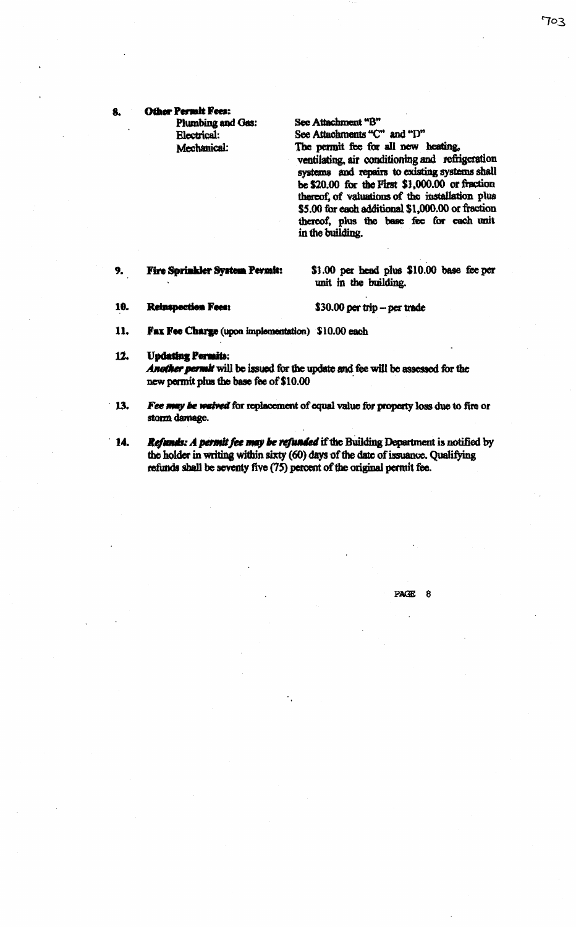#### Other Permit Fees: 8.

Plumbing and Gas: Electrical: Mechanical:

See Attachment "B" See Attachments "C" and "D" The permit fee for all new heating, ventilating, air conditioning and refrigeration systems and repairs to existing systems shall be \$20.00 for the First  $$1,000.00$  or fraction thereof, of valuations of the installation plus \$5.00 for each additional \$1,000.00 or fraction thereof, plus the base fee for each unit in the building.

#### Fire Sprinkler System Permit: 9.

\$1.00 per head plus \$10.00 base fee per unit in the building.

10. **Reinspection Fees:**   $$30.00$  per trip - per trade

- 11. Fax Fee Charge (upon implementation) \$10.00 each
- **Updating Permits:** 12.

Another permit will be issued for the update and fee will be assessed for the new permit plus the base fee of \$10.00

- $\cdot$  13. Fee may be waived for replacement of equal value for property loss due to fire or storm damage.
- Refunds: A permit fee may be refunded if the Building Department is notified by  $-14$ the holder in writing within sixty (60) days of the date of issuance. Qualifying refunds shall be seventy five (75) percent of the original permit fee.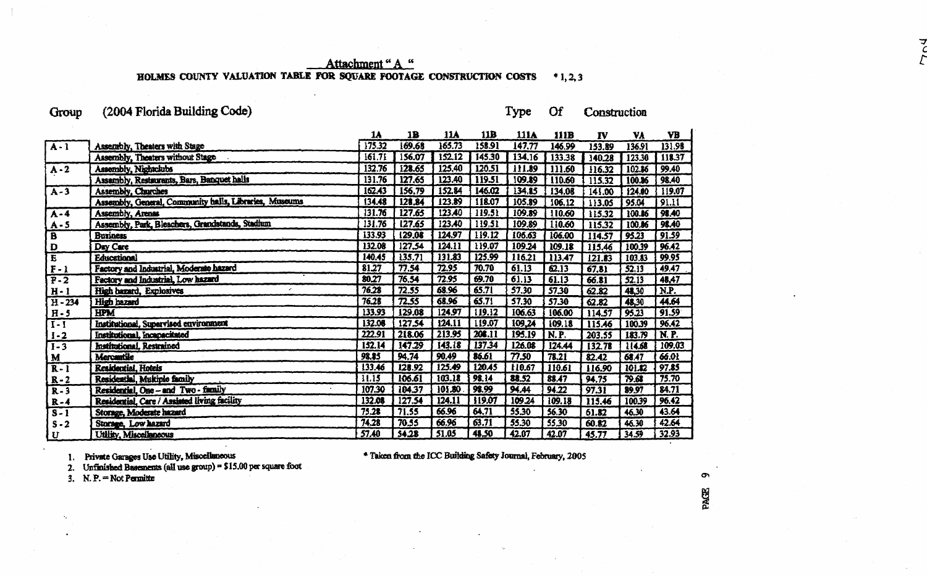Attachment "A "

HOLMES COUNTY VALUATION TABLE FOR SQUARE FOOTAGE CONSTRUCTION COSTS  $*1, 2, 3$ 

#### (2004 Florida Building Code) Group

#### Type Of Construction

|                           |                                                        | 1A     | 1B     | 11A    | 11B    | <b>111A</b> | 111B   | IV           | VA     | VB     |
|---------------------------|--------------------------------------------------------|--------|--------|--------|--------|-------------|--------|--------------|--------|--------|
| $A - 1$                   | Assembly, Theaters with Stage                          | 175.32 | 169.68 | 165.73 | 158.91 | 147.77      | 146.99 | 153.89       | 136.91 | 131.98 |
|                           | Assembly, Theaters without Stage                       | 161.71 | 156.07 | 152.12 | 145.30 | 134,16      | 133.38 | 140.28       | 123.30 | 118.37 |
| $A - 2$                   | Assembly, Nightclubs                                   | 132.76 | 128.65 | 125,40 | 120.51 | 111.89      | 111.60 | 116.32       | 102.86 | 99.40  |
|                           | Assembly, Restaurants, Bars, Banquet halls             | 131.76 | 127.65 | 123.40 | 119.51 | 109.89      | 110.60 | 115.32       | 100.86 | 98.40  |
| $A-3$                     | Assembly, Churches                                     | 162.43 | 156,79 | 152.84 | 146.02 | 134.85      | 134.08 | 141.00       | 124.00 | 119.07 |
|                           | Assembly, General, Community halls, Libraries, Museums | 134.48 | 128.84 | 123.89 | 118.07 | 105.89      | 106.12 | 113.05       | 95.04  | 91.11  |
| $A - 4$                   | Assembly, Arenas                                       | 131.76 | 127.65 | 123.40 | 119.51 | 109.89      | 110.60 | 115.32       | 100.86 | 98.40  |
| $A - 5$                   | Assembly, Park, Bleachers, Grandstands, Stadium        | 131.76 | 127.65 | 123.40 | 119.51 | 109.89      | 110.60 | 115.32       | 100.86 | 98.40  |
| $\overline{\mathbf{B}}$   | <b>Business</b>                                        | 133.93 | 129,08 | 124.97 | 119.12 | 106.63      | 106.00 | 114.57       | 95.23  | 91.59  |
| $\overline{\mathbf{D}}$   | Day Care                                               | 132.08 | 127.54 | 124.11 | 119.07 | 109.24      | 109.18 | 115.46       | 100.39 | 96.42  |
| $\overline{\mathbf{E}}$   | <b>Educational</b>                                     | 140.45 | 135.71 | 131.83 | 125.99 | 116.21      | 113.47 | 121.83       | 103.83 | 99.95  |
| $F - 1$                   | Factory and Industrial, Moderate hazard                | 81.27  | 77.54  | 72.95  | 70.70  | 61.13       | 62.13  | 67,81        | 52.13  | 49,47  |
| $\overline{P-2}$          | Factory and Industrial, Low hazard                     | 80.27  | 76,54  | 72.95  | 69.70  | 61.13       | 61.13  | 66.81        | 52.13  | 48,47  |
| $H - 1$                   | High hazard, Explosives<br>$\mathcal{C}$               | 76.28  | 72.55  | 68.96  | 65.71  | 57.30       | 57.30  | 62.82        | 48,30  | N.P.   |
| $H - 234$                 | <b>High hazard</b>                                     | 76.28  | 72.55  | 68.96  | 65.71  | 57.30       | 57.30  | 62.82        | 48,30  | 44.64  |
| $H - 5$                   | <b>HPM</b>                                             | 133.93 | 129.08 | 124.97 | 119.12 | 106,63      | 106.00 | 114.57       | 95.23  | 91.59  |
| $\overline{1}$ -1         | Institutional, Supervised environment                  | 132.08 | 127.54 | 124.11 | 119.07 | 109,24      | 109.18 | 115.46       | 100.39 | 96.42  |
| $1 - 2$                   | Institutional, Incapacitated                           | 222.91 | 218.06 | 213.95 | 208.11 | 195.19      | N.P    | 203.55       | 183.79 | N.P.   |
| $\overline{I-3}$          | Institutional, Restrained                              | 152.14 | 147.29 | 143.18 | 137.34 | 126.08      | 124.44 | 132.78       | 114.68 | 109.03 |
| M                         | Mercantile                                             | 98.85  | 94.74  | 90.49  | 86.61  | 77.50       | 78.21  | 82,42        | 68.47  | 66.01  |
| $\overline{R-1}$          | <b>Residential</b> , Hotels                            | 133.46 | 128.92 | 125.49 | 120.45 | £10.67      | 110.61 | <b>H6.90</b> | 101.82 | 97.85  |
| $R - 2$                   | Residential, Multiple family                           | 11.15  | 106.61 | 103.18 | 98.14  | 88.52       | 88.47  | 94.75        | 79.63  | 75.70  |
| $R - 3$                   | Residential, One - and Two - family                    | 107.30 | 104.37 | 101.80 | 98.99  | 94.44       | 94.22  | 97.31        | 89.97  | 84.71  |
| $R - 4$                   | Residential, Care / Assisted living facility           | 132.08 | 127.54 | 124.11 | 119.07 | 109.24      | 109.18 | 115.46       | 100.39 | 96.42  |
| $\overline{\mathbf{s-1}}$ | Storage, Moderate hazard                               | 75.28  | 71.55  | 66.96  | 64.71  | 55.30       | 56.30  | 61.82        | 46.30  | 43.64  |
| $S - 2$                   | Storage, Low hazard                                    | 74.28  | 70.55  | 66.96  | 63.71  | 55.30       | 55.30  | 60.82        | 46.30  | 42.64  |
| U                         | Utility, Miscellaneous                                 | 57.40  | 54.28  | 51.05  | 48.50  | 42.07       | 42.07  | 45.77        | 34.59  | 32.93  |

\* Taken from the ICC Building Safety Journal, February, 2005

1. Private Garages Use Utility, Miscellaneous<br>2. Unfinished Basements (all use group) = \$15.00 per square foot

3. N. P. = Not Permitte

**O** 

-7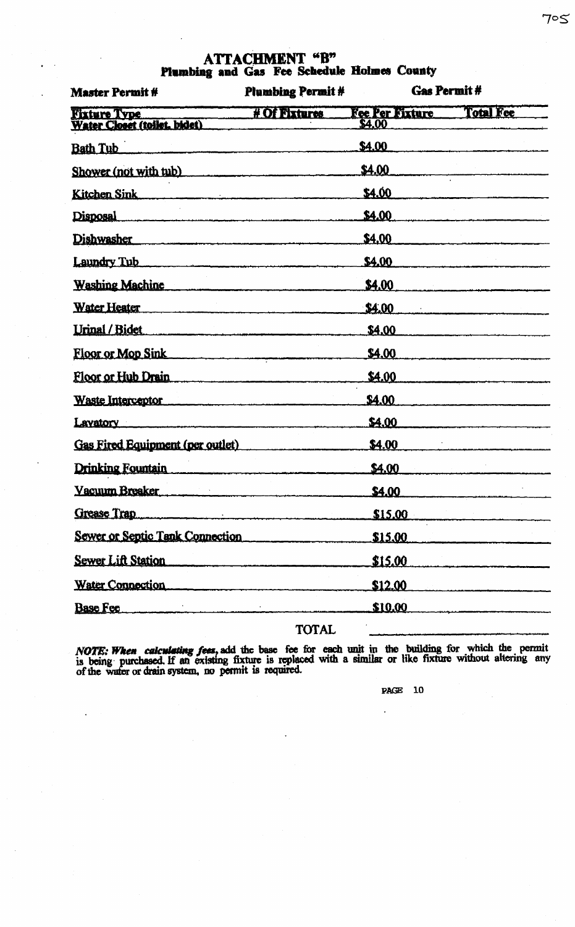| A AMERIJAHA<br>保証集<br><b>Master Permit #</b> | <b>AND LAA MARAARIA TIATI</b><br><b>Gas Permit#</b><br><b>Plumbing Permit#</b> |
|----------------------------------------------|--------------------------------------------------------------------------------|
| <b>Fixture Type</b>                          | <b>Total Fee</b><br># Of Fixtures<br><b>Fee Per Fixture</b><br>\$4.00          |
| Water Closet (toilet, bidet)                 |                                                                                |
| <b>Bath Tub</b>                              | \$4.00                                                                         |
| Shower (not with tub)                        | \$4.00                                                                         |
| Kitchen Sink                                 | \$4.00                                                                         |
| Disposal                                     | 54.00                                                                          |
| <b>Dishwasher</b>                            | <b>\$4.00</b>                                                                  |
| Laundry Tub                                  | \$4.00                                                                         |
| <b>Washing Machine</b>                       | <u>\$4.00</u>                                                                  |
| <b>Water Heater</b>                          | \$4.00                                                                         |
| <b>Urinal / Bidet</b>                        | \$4.00                                                                         |
| Floor or Mop Sink                            | <u>\$4.00</u>                                                                  |
| Floor or Hub Drain                           | <u>\$4.00</u>                                                                  |
| <b>Waste Interceptor</b>                     | \$4.00                                                                         |
| <b>Layatory</b>                              | \$4.00                                                                         |
| <b>Gas Fired Equipment (per outlet)</b>      | \$4.00                                                                         |
| <b>Drinking Fountain</b>                     | <u>\$4.00</u>                                                                  |
| <b>Vacuum Breaker</b>                        | \$4.00                                                                         |
| <b>Grease Trap</b>                           | \$15.00                                                                        |
| Sewer or Septic Tank Connection              | \$15.00                                                                        |
| <b>Sewer Lift Station</b>                    | <u>\$15.00</u>                                                                 |
| <b>Water Connection</b>                      | \$12.00                                                                        |
| <b>Base Fee</b>                              | \$10.00                                                                        |

### **ATTACHMENT "B"** nd Gas Fee Schedule Holmes County m.

**TOTAL** 

NOTE: When calculating fees, add the base fee for each unit in the building for which the permit is being purchased. If an existing fixture is replaced with a similar or like fixture without altering any of the water or dr

**PAGE 10** 

 $7°5$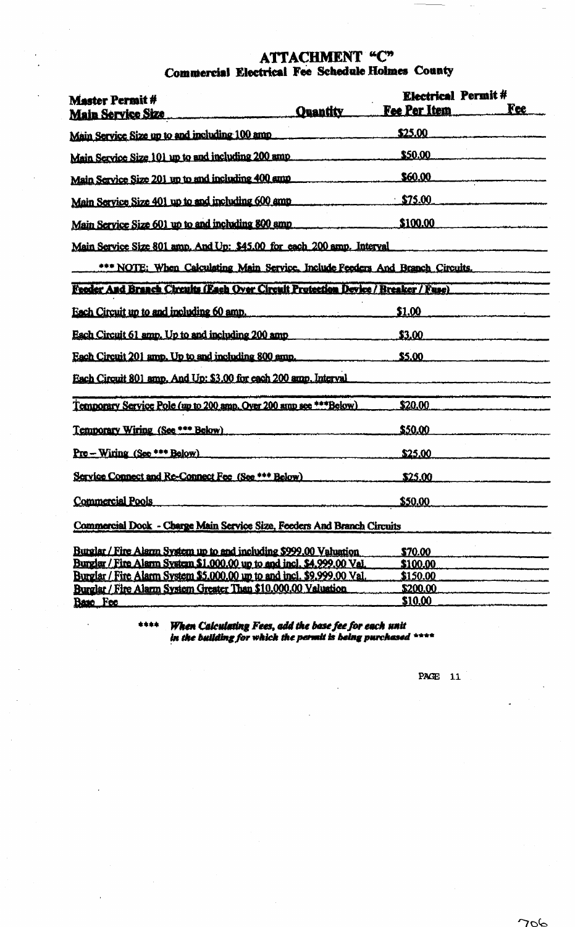# ATTACHMENT "C"<br>Commercial Electrical Fee Schedule Holmes County

| <b>Master Permit #</b>                                                            |                 | <b>Electrical Permit#</b> |     |  |
|-----------------------------------------------------------------------------------|-----------------|---------------------------|-----|--|
| <u>Main Service Size</u>                                                          | <b>Quantity</b> | <b>Fee Per Item</b>       | Fee |  |
| Main Service Size up to and including 100 amp                                     |                 | <b>\$25.00</b>            |     |  |
| Main Service Size 101 up to and including 200 amp                                 |                 | \$50.00                   |     |  |
| Main Service Size 201 up to and including 400 amp                                 |                 | <b>\$60.00</b>            |     |  |
| Main Service Size 401 up to and including 600 amp                                 |                 | <u>S75.00</u>             |     |  |
| Main Service Size 601 up to and including 800 amp                                 |                 | \$100.00                  |     |  |
| Main Service Size 801 amp. And Up: \$45.00 for each 200 amp. Interval             |                 |                           |     |  |
| *** NOTE: When Calculating Main Service, Include Feeders And Branch Circuits.     |                 |                           |     |  |
| Feeder And Branch Circuits (Each Over Circuit Protection Device / Breaker / Fuse) |                 |                           |     |  |
| Each Circuit up to and including 60 amp.                                          |                 | \$1.00                    |     |  |
| Each Circuit 61 amp. Up to and including 200 amp                                  |                 | \$3.00.                   |     |  |
| Each Circuit 201 amp. Up to and including 800 amp.                                |                 | \$5.00                    |     |  |
| Each Circuit 801 amp. And Up: \$3.00 for each 200 amp. Interval                   |                 |                           |     |  |
| Temporary Service Pole (up to 200 ann. Over 200 ann see *** Bolow)                |                 | \$20.00                   |     |  |
| Temporary Wiring (See *** Below)                                                  |                 | \$50.00                   |     |  |
| Pre - Wiring (Sec *** Below)                                                      |                 | \$25.00                   |     |  |
| Service Connect and Re-Connect Fee (See *** Bolow)                                |                 | \$25.00                   |     |  |
| <b>Commercial Pools</b>                                                           |                 | \$50.00                   |     |  |
| Commercial Dock - Charge Main Service Size, Foeders And Branch Circuits           |                 |                           |     |  |
| Burglar / Fire Alarm System up to and including \$999.00 Valuation                |                 | \$70.00                   |     |  |

| Burglar / Fire Alarm System in to and including \$999,00 Valuation     | - 370.00 |
|------------------------------------------------------------------------|----------|
| Burglar / Fire Alarm System \$1,000.00 up to and incl. \$4,999.00 Val. | \$100.00 |
| Burglar / Fire Alarm System \$5,000.00 up to and incl. \$9,999.00 Val. | \$150.00 |
| Burglat / Fire Alarm System Greater Than \$10,000.00 Valuation         | \$200.00 |
| Base Fee                                                               | \$10.00  |

\*\*\*\* When Calculating Fees, add the base fee for each unit<br>in the building for which the permit is being purchased \*\*\*\*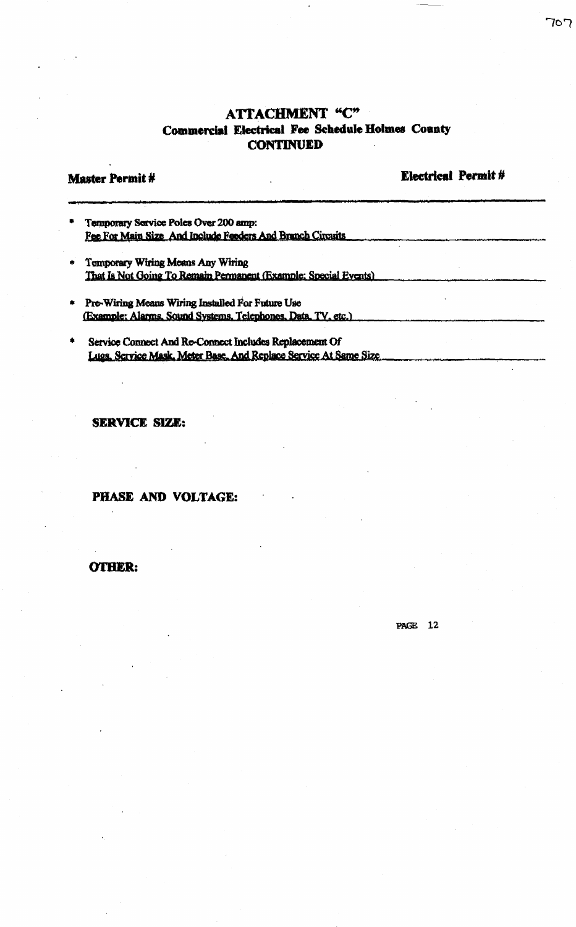# **ATTACHMENT "C"** Commercial Electrical Fee Schedule Holmes County **CONTINUED**

# **Master Permit#**

**Electrical Permit#** 

- Temporary Service Poles Over 200 amp: Fee For Main Size And Include Feeders And Branch Circuits
- \* Temporary Wiring Means Any Wiring That Is Not Going To Remain Permanent (Example: Special Events)
- \* Pre-Wiring Means Wiring Installed For Future Use (Example: Alarms, Sound Systems, Telephones, Data, TV, etc.)
- Service Connect And Re-Connect Includes Replacement Of Lues, Scrvice Mask, Meter Base, And Replace Service At Same Size

**SERVICE SIZE:** 

# PHASE AND VOLTAGE:

# **OTHER:**

 $707$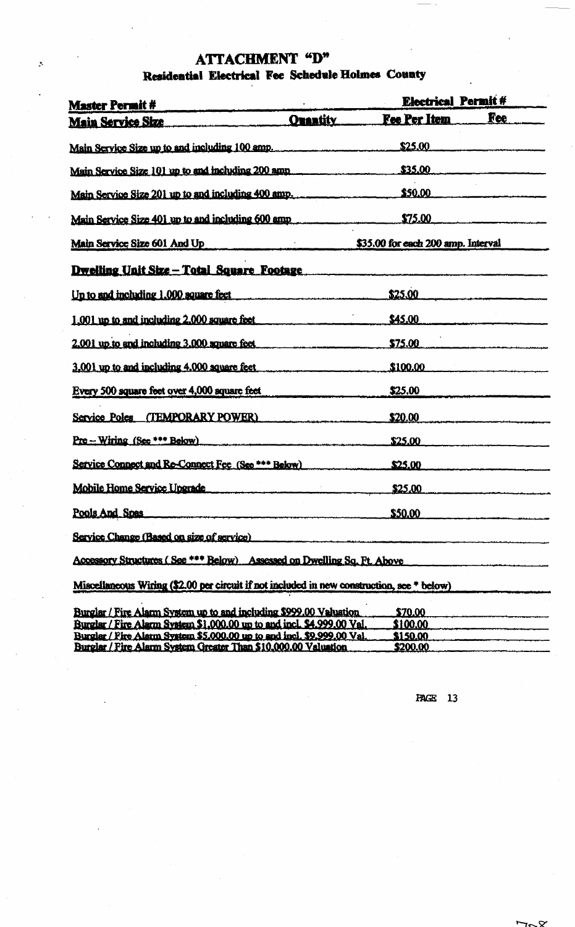# **ATTACHMENT "D"** Residential Electrical Fee Schedule Holmes County

 $\mathcal{S}$ 

| <b>Master Permit #</b>                                                                     |                 | <b>Electrical Permit#</b>          |     |
|--------------------------------------------------------------------------------------------|-----------------|------------------------------------|-----|
| <b>Main Service Size</b>                                                                   | <b>Ouantity</b> | <u>Fee Per Item</u>                | Fee |
| Main Service Size up to and including 100 ann.                                             |                 | \$25.00                            |     |
| Main Service Size 101 up to and including 200 amp                                          |                 | \$35.00                            |     |
| Main Service Size 201 up to and including 400 amp.                                         |                 | <u>\$50.00</u>                     |     |
| Main Service Size 401 up to and including 600 amp                                          |                 | \$75.00                            |     |
| Main Service Size 601 And Up                                                               |                 | \$35.00 for each 200 amp. Interval |     |
| <u> Dwelling Unit Size – Total Square Footage</u>                                          |                 |                                    |     |
| Un to and including 1,000 square feet                                                      |                 | \$25.00                            |     |
| 1,001 up to and including 2,000 square feet                                                |                 | \$45.00                            |     |
| 2,001 up to and including 3,000 square feet                                                |                 | \$75.00                            |     |
| 3,001 up to and including 4,000 square feet                                                |                 | \$100.00                           |     |
| Every 500 square feet over 4,000 square feet                                               |                 | \$25.00                            |     |
| Service Poles (TEMPORARY POWER)                                                            |                 | \$20.00                            |     |
| $Pre-Wiring$ (See *** Below)                                                               |                 | \$25.00                            |     |
| Service Connect and Re-Connect Fee. (See *** Below)                                        |                 | <u>\$25.00</u>                     |     |
| Mobile Home Service Upgrade                                                                |                 | \$25,00                            |     |
| Pools And Spas                                                                             |                 | <b>\$50.00</b>                     |     |
| Service Change (Based on size of service)                                                  |                 |                                    |     |
| Accessory Structures (See *** Below) Assessed on Dwelling Sq. Ft. Above                    |                 |                                    |     |
| Miscellaneous Wiring (\$2.00 per circuit if not included in new construction, see * below) |                 |                                    |     |
| Burglar / Fire Alarm System up to and including \$999.00 Valuation                         |                 | \$70.00                            |     |

| Burglar / Fire Alarm System up to and including \$999.00 Valuation     | <b>\$70.00</b> |
|------------------------------------------------------------------------|----------------|
| Burglar / Fire Alarm System \$1,000.00 up to and incl. \$4,999.00 Val. | \$100.00       |
| Burglar / Fire Alarm System \$5,000.00 up to and incl. \$9,999.00 Val. | _\$150.00      |
| Burglar / Fire Alarm System Greater Than \$10,000.00 Valuation         | \$200.00       |

**PAGE 13** 

 $H_{\infty}$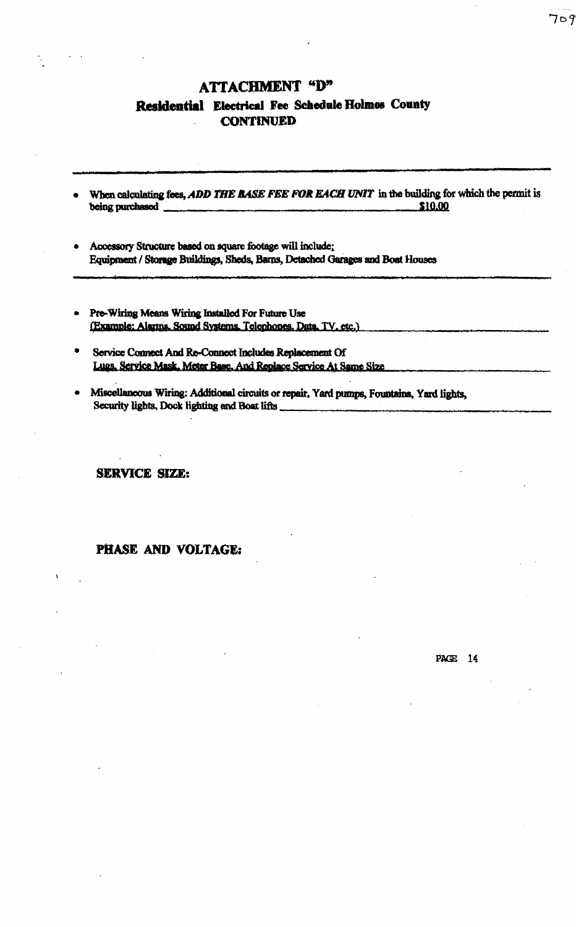# **ATTACHMENT "D" Residential Electrical Fee Schedule Holmes County CONTINUED**

- When calculating fees, ADD THE BASE FEE FOR EACH UNIT in the building for which the permit is \$10.00 being purchased
- Accessory Structure based on square footage will include; Equipment / Storage Buildings, Sheds, Barns, Detached Garages and Boat Houses
- Pre-Wiring Means Wiring Installed For Future Use (Example: Alarms, Sound Systems, Tolonhones, Data, TV, etc.)
- $\bullet$ Service Connect And Re-Connect Includes Replacement Of Lugs, Service Mask, Meter Base, And Replace Service At Same Size
- Miscellaneous Wiring: Additional circuits or repair, Yard pumps, Fountains, Yard lights, Security lights, Dock lighting and Boat lifts

**SERVICE SIZE:** 

# PHASE AND VOLTAGE: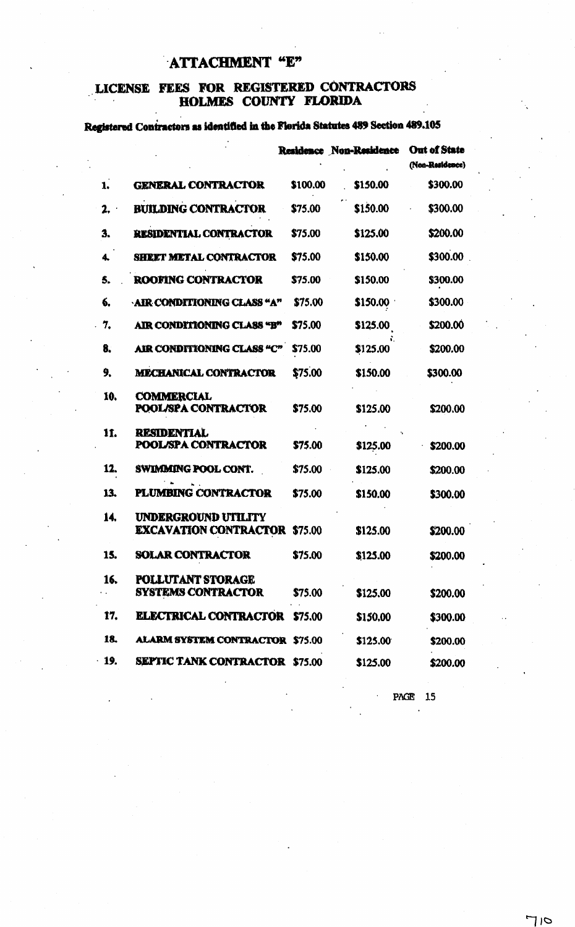# ATTACHMENT "E"

# LICENSE FEES FOR REGISTERED CONTRACTORS HOLMES COUNTY FLORIDA

# Registered Contractors as identified in the Florida Statutes 489 Section 489.105

|             |                                                            |          | Residence Non-Residence | <b>Out of State</b><br>(Non-Residence) |
|-------------|------------------------------------------------------------|----------|-------------------------|----------------------------------------|
| 1.          | <b>GENERAL CONTRACTOR</b>                                  | \$100.00 | \$150.00                | \$300.00                               |
| 2.          | <b>BUILDING CONTRACTOR</b>                                 | \$75.00  | \$150.00                | \$300.00                               |
| 3.          | RESIDENTIAL CONTRACTOR                                     | \$75.00  | \$125.00                | \$200.00                               |
| 4.          | SHEET METAL CONTRACTOR                                     | \$75.00  | \$150.00                | \$300.00                               |
| 5.          | <b>ROOFING CONTRACTOR</b>                                  | \$75.00  | \$150.00                | \$300.00                               |
| 6.          | <b>AIR CONDITIONING CLASS "A"</b>                          | \$75.00  | \$150.00                | \$300.00                               |
| 7.          | AIR CONDITIONING CLASS "B"                                 | \$75.00  | \$125.00                | \$200.00                               |
| 8.          | AIR CONDITIONING CLASS "C"                                 | \$75.00  | \$125.00                | \$200.00                               |
| 9.          | <b>MECHANICAL CONTRACTOR</b>                               | \$75.00  | \$150.00                | \$300.00                               |
| 10.         | <b>COMMERCIAL</b><br><b>POOL/SPA CONTRACTOR</b>            | \$75.00  | \$125.00                | \$200.00                               |
| 11.         | <b>RESIDENTIAL</b><br><b>POOL/SPA CONTRACTOR</b>           | \$75.00  | \$125.00                | \$200.00                               |
| 12.         | SWIMMING POOL CONT.                                        | \$75.00  | \$125.00                | \$200.00                               |
| 13.         | <b>PLUMBING CONTRACTOR</b>                                 | \$75.00  | \$150.00                | \$300.00                               |
| 14.         | <b>UNDERGROUND UTILITY</b><br><b>EXCAVATION CONTRACTOR</b> | \$75.00  | \$125.00                | \$200.00                               |
| 15.         | <b>SOLAR CONTRACTOR</b>                                    | \$75.00  | \$125.00                | \$200.00                               |
| 16.         | <b>POLLUTANT STORAGE</b><br><b>SYSTEMS CONTRACTOR</b>      | \$75.00  | \$125,00                | \$200.00                               |
| 17.         | <b>ELECTRICAL CONTRACTOR \$75.00</b>                       |          | \$150,00                | \$300.00                               |
| 18.         | <b>ALARM SYSTEM CONTRACTOR \$75.00</b>                     |          | \$125.00                | \$200.00                               |
| $\cdot$ 19. | <b>SEPTIC TANK CONTRACTOR \$75.00</b>                      |          | \$125.00                | \$200.00                               |

**PAGE 15**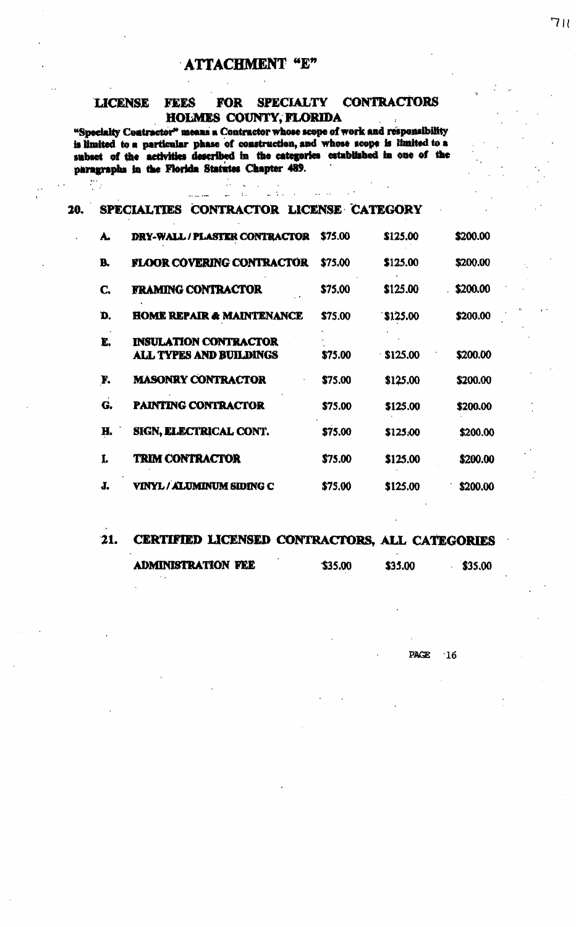# ATTACHMENT "E"

#### **CONTRACTORS LICENSE FEES FOR SPECIALTY** HOLMES COUNTY, FLORIDA

"Specialty Contractor" means a Contractor whose scope of work and responsibility is limited to a particular phase of construction, and whose scope is limited to a subset of the activities described in the categories established in one of the paragraphs in the Florida Statutes Chapter 489.

 $\mathbb{Z}^{\mathbb{Z}}$  is a set of

 $\mathcal{L}_{\mathcal{L}}$  ,  $\mathcal{L}_{\mathcal{L}}$ 

 $\mathcal{L}_{\mathcal{A}}$ 

 $\ddot{\cdot}$ .

 $\mathcal{L}_{\mathcal{A}}$ 

| 20. |    | SPECIALTIES CONTRACTOR LICENSE CATEGORY                        |         |          |          |
|-----|----|----------------------------------------------------------------|---------|----------|----------|
|     | A. | DRY-WALL / PLASTER CONTRACTOR                                  | \$75.00 | \$125.00 | \$200.00 |
|     | B. | <b>FLOOR COVERING CONTRACTOR</b>                               | \$75,00 | \$125,00 | \$200.00 |
|     | C. | <b>FRAMING CONTRACTOR</b>                                      | \$75.00 | \$125,00 | \$200.00 |
|     | D. | <b>HOME REPAIR &amp; MAINTENANCE</b>                           | \$75.00 | \$125.00 | \$200.00 |
|     | E. | <b>INSULATION CONTRACTOR</b><br><b>ALL TYPES AND BUILDINGS</b> | \$75.00 | \$125.00 | \$200.00 |
|     | F. | <b>MASONRY CONTRACTOR</b>                                      | \$75.00 | \$125.00 | \$200.00 |
|     | G. | <b>PAINTING CONTRACTOR</b>                                     | \$75.00 | \$125.00 | \$200.00 |
|     | H. | SIGN, ELECTRICAL CONT.                                         | \$75.00 | \$125.00 | \$200.00 |
|     | I. | <b>TRIM CONTRACTOR</b>                                         | \$75.00 | \$125.00 | \$200.00 |
|     | J. | <b>VINYL / ALUMINUM SIDING C</b>                               | \$75.00 | \$125.00 | \$200.00 |

# $21.$ CERTIFIED LICENSED CONTRACTORS, ALL CATEGORIES

| <b>ADMINISTRATION FEE</b> | \$35.00 | \$35.00 | \$35,00 |
|---------------------------|---------|---------|---------|
|                           |         |         |         |

PAGE  $\cdot$ 16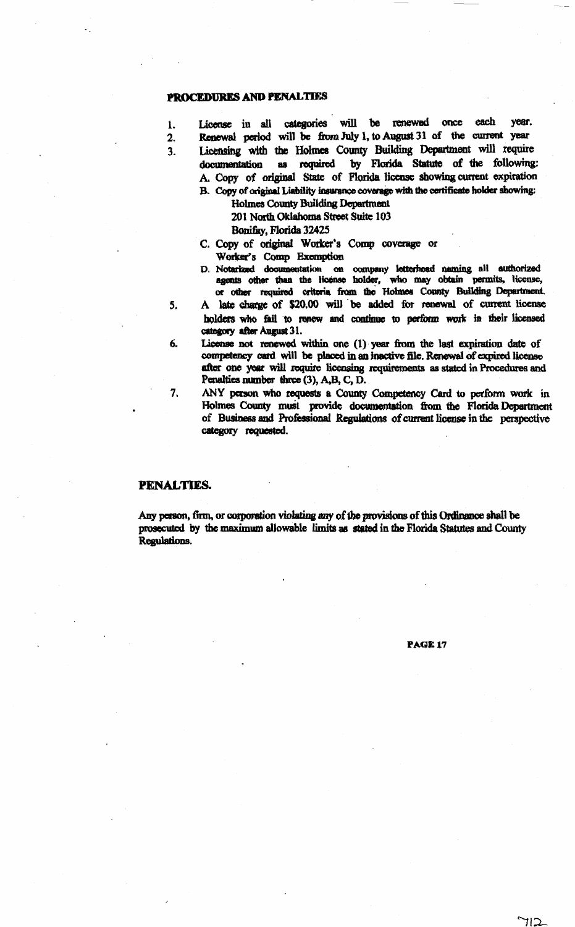### PROCEDURES AND PENALTIES

License in all categories will be renewed once each vear.  $\mathbf{1}$ . Renewal period will be from July 1, to August 31 of the current year  $2.$ Licensing with the Holmes County Building Department will require  $\overline{3}$ . documentation as required by Florida Statute of the following: A. Copy of original State of Florida license showing current expiration B. Copy of original Liability insurance coverage with the certificate holder showing:

Holmes County Building Department

201 North Oklahoma Street Suite 103

- Bonifay, Florida 32425
- C. Copy of original Worker's Comp coverage or Worker's Comp Exemption
- D. Notarized documentation on company letterhead naming all authorized agents other than the license holder, who may obtain permits, license, or other required criteria from the Holmes County Building Department.
- A late charge of \$20,00 will be added for renewal of current license holders who fail to renew and continue to perform work in their licensed category after August 31.
- License not renewed within one (1) year from the last expiration date of competency card will be placed in an inactive file. Renewal of expired license after one year will require licensing requirements as stated in Procedures and Penalties number three (3), A,B, C, D.

ANY person who requests a County Competency Card to perform work in Holmes County must provide documentation from the Florida Department of Business and Professional Regulations of current license in the perspective category requested.

# PENALTIES.

5.

6.

7.

Any person, firm, or corporation violating any of the provisions of this Ordinance shall be prosecuted by the maximum allowable limits as stated in the Florida Statutes and County Regulations.

PAGE 17